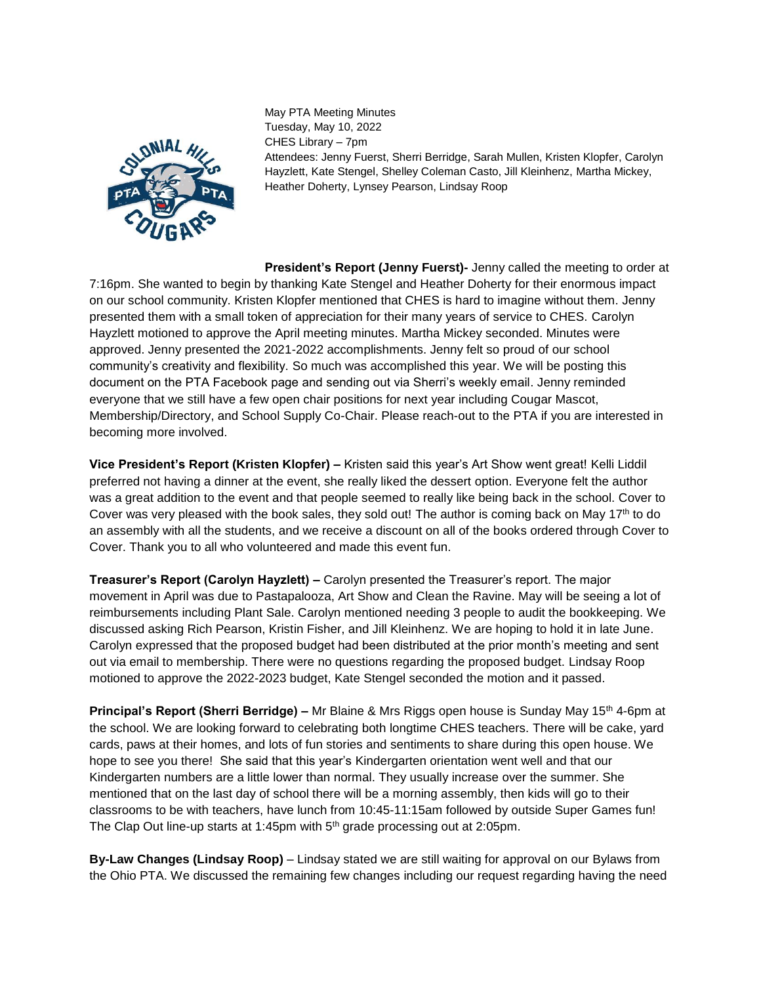

May PTA Meeting Minutes Tuesday, May 10, 2022 CHES Library – 7pm Attendees: Jenny Fuerst, Sherri Berridge, Sarah Mullen, Kristen Klopfer, Carolyn Hayzlett, Kate Stengel, Shelley Coleman Casto, Jill Kleinhenz, Martha Mickey, Heather Doherty, Lynsey Pearson, Lindsay Roop

**President's Report (Jenny Fuerst)-** Jenny called the meeting to order at 7:16pm. She wanted to begin by thanking Kate Stengel and Heather Doherty for their enormous impact on our school community. Kristen Klopfer mentioned that CHES is hard to imagine without them. Jenny presented them with a small token of appreciation for their many years of service to CHES. Carolyn Hayzlett motioned to approve the April meeting minutes. Martha Mickey seconded. Minutes were approved. Jenny presented the 2021-2022 accomplishments. Jenny felt so proud of our school community's creativity and flexibility. So much was accomplished this year. We will be posting this document on the PTA Facebook page and sending out via Sherri's weekly email. Jenny reminded everyone that we still have a few open chair positions for next year including Cougar Mascot, Membership/Directory, and School Supply Co-Chair. Please reach-out to the PTA if you are interested in becoming more involved.

**Vice President's Report (Kristen Klopfer) –** Kristen said this year's Art Show went great! Kelli Liddil preferred not having a dinner at the event, she really liked the dessert option. Everyone felt the author was a great addition to the event and that people seemed to really like being back in the school. Cover to Cover was very pleased with the book sales, they sold out! The author is coming back on May 17th to do an assembly with all the students, and we receive a discount on all of the books ordered through Cover to Cover. Thank you to all who volunteered and made this event fun.

**Treasurer's Report (Carolyn Hayzlett) –** Carolyn presented the Treasurer's report. The major movement in April was due to Pastapalooza, Art Show and Clean the Ravine. May will be seeing a lot of reimbursements including Plant Sale. Carolyn mentioned needing 3 people to audit the bookkeeping. We discussed asking Rich Pearson, Kristin Fisher, and Jill Kleinhenz. We are hoping to hold it in late June. Carolyn expressed that the proposed budget had been distributed at the prior month's meeting and sent out via email to membership. There were no questions regarding the proposed budget. Lindsay Roop motioned to approve the 2022-2023 budget, Kate Stengel seconded the motion and it passed.

**Principal's Report (Sherri Berridge) –** Mr Blaine & Mrs Riggs open house is Sunday May 15<sup>th</sup> 4-6pm at the school. We are looking forward to celebrating both longtime CHES teachers. There will be cake, yard cards, paws at their homes, and lots of fun stories and sentiments to share during this open house. We hope to see you there! She said that this year's Kindergarten orientation went well and that our Kindergarten numbers are a little lower than normal. They usually increase over the summer. She mentioned that on the last day of school there will be a morning assembly, then kids will go to their classrooms to be with teachers, have lunch from 10:45-11:15am followed by outside Super Games fun! The Clap Out line-up starts at 1:45pm with 5<sup>th</sup> grade processing out at 2:05pm.

**By-Law Changes (Lindsay Roop)** – Lindsay stated we are still waiting for approval on our Bylaws from the Ohio PTA. We discussed the remaining few changes including our request regarding having the need